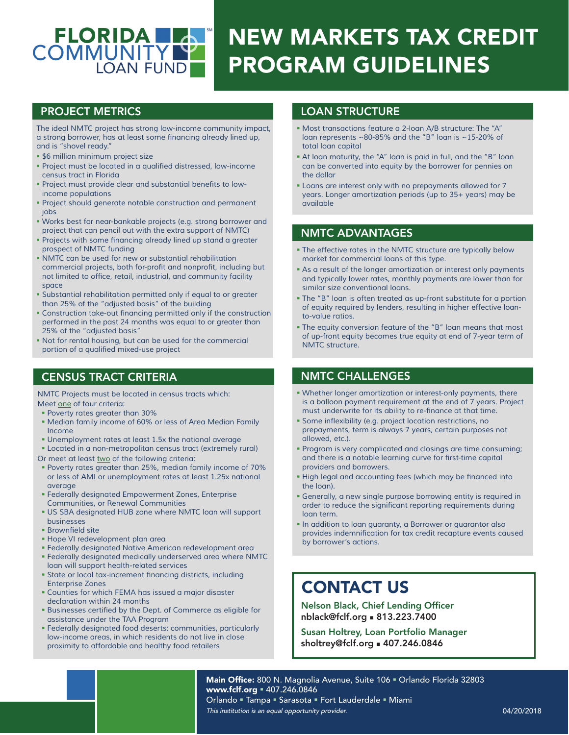# FLORIDA COMMUNITY NEW MARKETS TAX CREDIT PROGRAM GUIDELINES

*The ideal NMTC project has strong low-income community impact,*  a strong borrower, has at least some financing already lined up, *and is "shovel ready."*

- *\$6 million minimum project size*
- Project must be located in a qualified distressed, low-income *census tract in Florida*
- Project must provide clear and substantial benefits to low*income populations*
- *Project should generate notable construction and permanent jobs*
- *Works best for near-bankable projects (e.g. strong borrower and project that can pencil out with the extra support of NMTC)*
- Projects with some financing already lined up stand a greater *prospect of NMTC funding*
- *NMTC can be used for new or substantial rehabilitation* commercial projects, both for-profit and nonprofit, including but not limited to office, retail, industrial, and community facility *space*
- *Substantial rehabilitation permitted only if equal to or greater than 25% of the "adjusted basis" of the building*
- Construction take-out financing permitted only if the construction *performed in the past 24 months was equal to or greater than 25% of the "adjusted basis"*
- *Not for rental housing, but can be used for the commercial* portion of a qualified mixed-use project

## CENSUS TRACT CRITERIA

*NMTC Projects must be located in census tracts which: Meet one of four criteria:*

- *Poverty rates greater than 30%*
- *Median family income of 60% or less of Area Median Family Income*
- *Unemployment rates at least 1.5x the national average*
- *Located in a non-metropolitan census tract (extremely rural) Or meet at least two of the following criteria:*
- *Poverty rates greater than 25%, median family income of 70% or less of AMI or unemployment rates at least 1.25x national*
- *average Federally designated Empowerment Zones, Enterprise Communities, or Renewal Communities*
- *US SBA designated HUB zone where NMTC loan will support businesses*
- **Brownfield site**
- *Hope VI redevelopment plan area*
- *Federally designated Native American redevelopment area*
- *Federally designated medically underserved area where NMTC loan will support health-related services*
- State or local tax-increment financing districts, including *Enterprise Zones*
- *Counties for which FEMA has issued a major disaster declaration within 24 months*
- Businesses certified by the Dept. of Commerce as eligible for *assistance under the TAA Program*
- *Federally designated food deserts: communities, particularly low-income areas, in which residents do not live in close proximity to affordable and healthy food retailers*

# PROJECT METRICS LOAN STRUCTURE

- *Most transactions feature a 2-loan A/B structure: The "A" loan represents ~80-85% and the "B" loan is ~15-20% of total loan capital*
- *At loan maturity, the "A" loan is paid in full, and the "B" loan can be converted into equity by the borrower for pennies on the dollar*
- *Loans are interest only with no prepayments allowed for 7 years. Longer amortization periods (up to 35+ years) may be available*

#### NMTC ADVANTAGES

- *The effective rates in the NMTC structure are typically below market for commercial loans of this type.*
- *As a result of the longer amortization or interest only payments and typically lower rates, monthly payments are lower than for similar size conventional loans.*
- *The "B" loan is often treated as up-front substitute for a portion of equity required by lenders, resulting in higher effective loanto-value ratios.*
- *The equity conversion feature of the "B" loan means that most of up-front equity becomes true equity at end of 7-year term of NMTC structure.*

## NMTC CHALLENGES

- *Whether longer amortization or interest-only payments, there is a balloon payment requirement at the end of 7 years. Project* must underwrite for its ability to re-finance at that time.
- Some inflexibility (e.g. project location restrictions, no *prepayments, term is always 7 years, certain purposes not allowed, etc.).*
- *Program is very complicated and closings are time consuming;* and there is a notable learning curve for first-time capital *providers and borrowers.*
- High legal and accounting fees (which may be financed into *the loan).*
- *Generally, a new single purpose borrowing entity is required in* order to reduce the significant reporting requirements during *loan term.*
- *In addition to loan guaranty, a Borrower or guarantor also* provides indemnification for tax credit recapture events caused *by borrower's actions.*

# CONTACT US

Nelson Black, Chief Lending Officer nblack@fclf.org n 813.223.7400

Susan Holtrey, Loan Portfolio Manager sholtrey@fclf.org = 407.246.0846

Main Office: 800 N. Magnolia Avenue, Suite 106 · Orlando Florida 32803 www.fclf.org = 407.246.0846 Orlando " Tampa " Sarasota " Fort Lauderdale " Miami This institution is an equal opportunity provider.